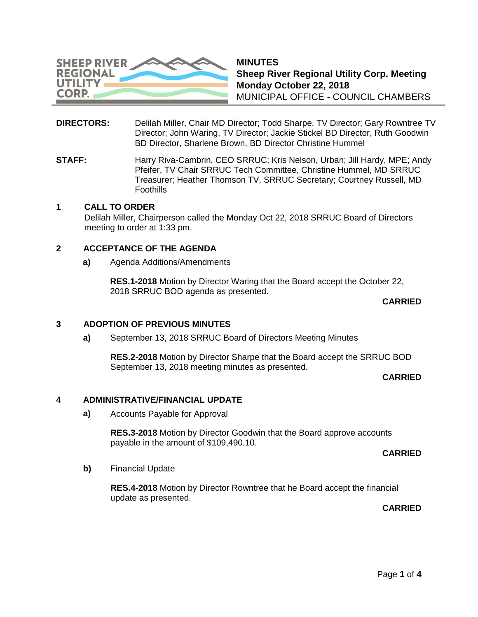

**MINUTES Sheep River Regional Utility Corp. Meeting Monday October 22, 2018** MUNICIPAL OFFICE - COUNCIL CHAMBERS

- **DIRECTORS:** Delilah Miller, Chair MD Director; Todd Sharpe, TV Director; Gary Rowntree TV Director; John Waring, TV Director; Jackie Stickel BD Director, Ruth Goodwin BD Director, Sharlene Brown, BD Director Christine Hummel
- **STAFF:** Harry Riva-Cambrin, CEO SRRUC; Kris Nelson, Urban; Jill Hardy, MPE; Andy Pfeifer, TV Chair SRRUC Tech Committee, Christine Hummel, MD SRRUC Treasurer; Heather Thomson TV, SRRUC Secretary; Courtney Russell, MD **Foothills**

# **1 CALL TO ORDER**

Delilah Miller, Chairperson called the Monday Oct 22, 2018 SRRUC Board of Directors meeting to order at 1:33 pm.

### **2 ACCEPTANCE OF THE AGENDA**

**a)** Agenda Additions/Amendments

**RES.1-2018** Motion by Director Waring that the Board accept the October 22, 2018 SRRUC BOD agenda as presented.

#### **CARRIED**

### **3 ADOPTION OF PREVIOUS MINUTES**

**a)** September 13, 2018 SRRUC Board of Directors Meeting Minutes

**RES.2-2018** Motion by Director Sharpe that the Board accept the SRRUC BOD September 13, 2018 meeting minutes as presented.

**CARRIED**

### **4 ADMINISTRATIVE/FINANCIAL UPDATE**

**a)** Accounts Payable for Approval

**RES.3-2018** Motion by Director Goodwin that the Board approve accounts payable in the amount of \$109,490.10.

**CARRIED**

**b)** Financial Update

**RES.4-2018** Motion by Director Rowntree that he Board accept the financial update as presented.

**CARRIED**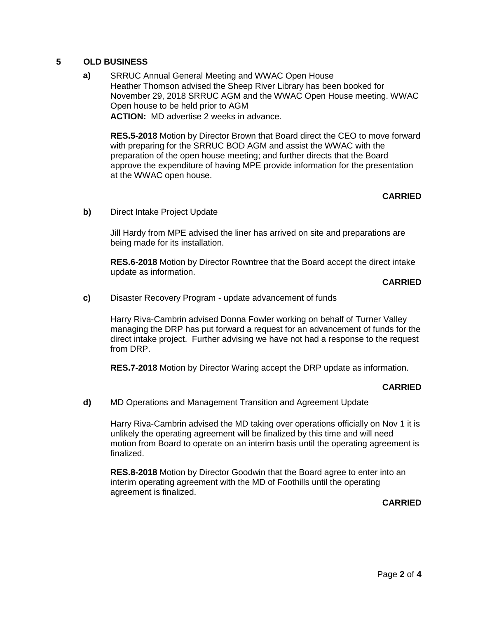# **5 OLD BUSINESS**

**a)** SRRUC Annual General Meeting and WWAC Open House Heather Thomson advised the Sheep River Library has been booked for November 29, 2018 SRRUC AGM and the WWAC Open House meeting. WWAC Open house to be held prior to AGM **ACTION:** MD advertise 2 weeks in advance.

**RES.5-2018** Motion by Director Brown that Board direct the CEO to move forward with preparing for the SRRUC BOD AGM and assist the WWAC with the preparation of the open house meeting; and further directs that the Board approve the expenditure of having MPE provide information for the presentation at the WWAC open house.

### **CARRIED**

**b)** Direct Intake Project Update

Jill Hardy from MPE advised the liner has arrived on site and preparations are being made for its installation.

**RES.6-2018** Motion by Director Rowntree that the Board accept the direct intake update as information.

# **CARRIED**

**c)** Disaster Recovery Program - update advancement of funds

Harry Riva-Cambrin advised Donna Fowler working on behalf of Turner Valley managing the DRP has put forward a request for an advancement of funds for the direct intake project. Further advising we have not had a response to the request from DRP.

**RES.7-2018** Motion by Director Waring accept the DRP update as information.

### **CARRIED**

**d)** MD Operations and Management Transition and Agreement Update

Harry Riva-Cambrin advised the MD taking over operations officially on Nov 1 it is unlikely the operating agreement will be finalized by this time and will need motion from Board to operate on an interim basis until the operating agreement is finalized.

**RES.8-2018** Motion by Director Goodwin that the Board agree to enter into an interim operating agreement with the MD of Foothills until the operating agreement is finalized.

### **CARRIED**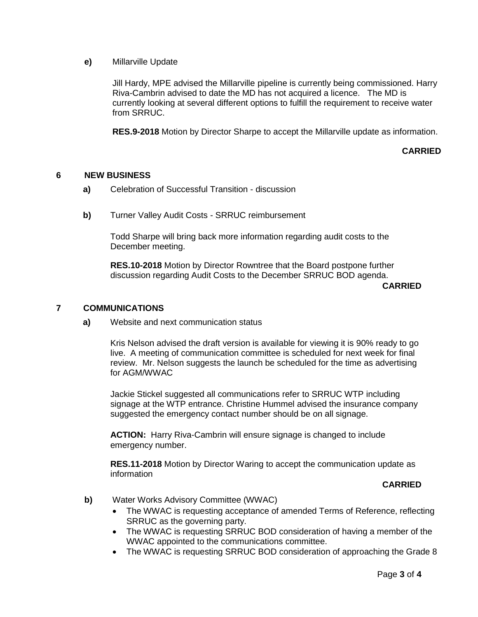**e)** Millarville Update

Jill Hardy, MPE advised the Millarville pipeline is currently being commissioned. Harry Riva-Cambrin advised to date the MD has not acquired a licence. The MD is currently looking at several different options to fulfill the requirement to receive water from SRRUC.

**RES.9-2018** Motion by Director Sharpe to accept the Millarville update as information.

**CARRIED**

### **6 NEW BUSINESS**

- **a)** Celebration of Successful Transition discussion
- **b)** Turner Valley Audit Costs SRRUC reimbursement

Todd Sharpe will bring back more information regarding audit costs to the December meeting.

**RES.10-2018** Motion by Director Rowntree that the Board postpone further discussion regarding Audit Costs to the December SRRUC BOD agenda.

# **7 COMMUNICATIONS**

**a)** Website and next communication status

Kris Nelson advised the draft version is available for viewing it is 90% ready to go live. A meeting of communication committee is scheduled for next week for final review. Mr. Nelson suggests the launch be scheduled for the time as advertising for AGM/WWAC

Jackie Stickel suggested all communications refer to SRRUC WTP including signage at the WTP entrance. Christine Hummel advised the insurance company suggested the emergency contact number should be on all signage.

**ACTION:** Harry Riva-Cambrin will ensure signage is changed to include emergency number.

**RES.11-2018** Motion by Director Waring to accept the communication update as information

### **CARRIED**

- **b)** Water Works Advisory Committee (WWAC)
	- The WWAC is requesting acceptance of amended Terms of Reference, reflecting SRRUC as the governing party.
	- The WWAC is requesting SRRUC BOD consideration of having a member of the WWAC appointed to the communications committee.
	- The WWAC is requesting SRRUC BOD consideration of approaching the Grade 8

**CARRIED**